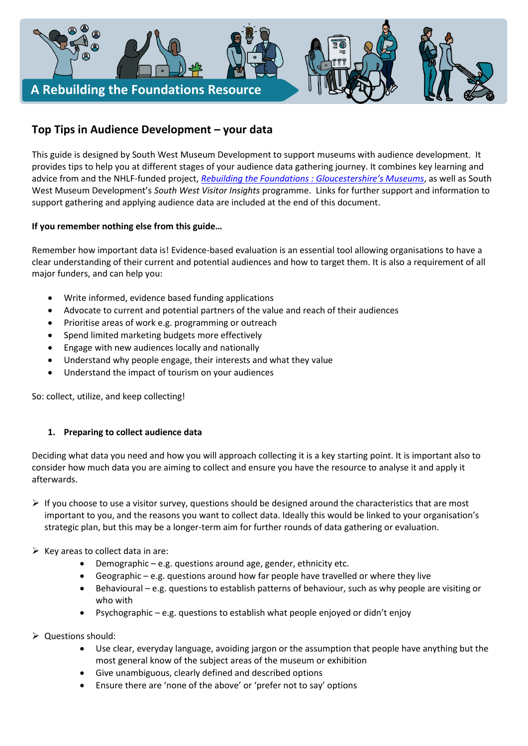

# **Top Tips in Audience Development – your data**

This guide is designed by South West Museum Development to support museums with audience development. It provides tips to help you at different stages of your audience data gathering journey. It combines key learning and advice from and the NHLF-funded project, *[Rebuilding the Foundations : Gloucestershire's Museums](https://southwestmuseums.org.uk/what-we-do/projects/rebuilding-the-foundations/)*, as well as South West Museum Development's *South West Visitor Insights* programme. Links for further support and information to support gathering and applying audience data are included at the end of this document.

# **If you remember nothing else from this guide…**

Remember how important data is! Evidence-based evaluation is an essential tool allowing organisations to have a clear understanding of their current and potential audiences and how to target them. It is also a requirement of all major funders, and can help you:

- Write informed, evidence based funding applications
- Advocate to current and potential partners of the value and reach of their audiences
- Prioritise areas of work e.g. programming or outreach
- Spend limited marketing budgets more effectively
- Engage with new audiences locally and nationally
- Understand why people engage, their interests and what they value
- Understand the impact of tourism on your audiences

So: collect, utilize, and keep collecting!

# **1. Preparing to collect audience data**

Deciding what data you need and how you will approach collecting it is a key starting point. It is important also to consider how much data you are aiming to collect and ensure you have the resource to analyse it and apply it afterwards.

- $\triangleright$  If you choose to use a visitor survey, questions should be designed around the characteristics that are most important to you, and the reasons you want to collect data. Ideally this would be linked to your organisation's strategic plan, but this may be a longer-term aim for further rounds of data gathering or evaluation.
- $\triangleright$  Key areas to collect data in are:
	- Demographic e.g. questions around age, gender, ethnicity etc.
	- Geographic e.g. questions around how far people have travelled or where they live
	- Behavioural e.g. questions to establish patterns of behaviour, such as why people are visiting or who with
	- Psychographic e.g. questions to establish what people enjoyed or didn't enjoy
- ➢ Questions should:
	- Use clear, everyday language, avoiding jargon or the assumption that people have anything but the most general know of the subject areas of the museum or exhibition
	- Give unambiguous, clearly defined and described options
	- Ensure there are 'none of the above' or 'prefer not to say' options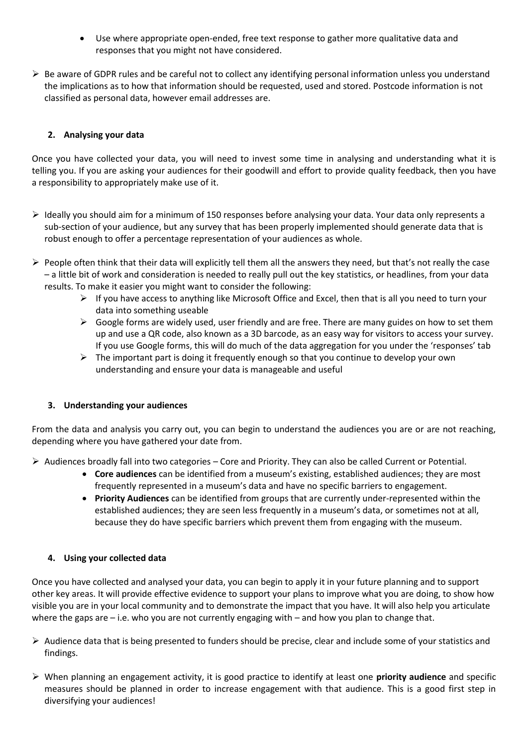- Use where appropriate open-ended, free text response to gather more qualitative data and responses that you might not have considered.
- $\triangleright$  Be aware of GDPR rules and be careful not to collect any identifying personal information unless you understand the implications as to how that information should be requested, used and stored. Postcode information is not classified as personal data, however email addresses are.

# **2. Analysing your data**

Once you have collected your data, you will need to invest some time in analysing and understanding what it is telling you. If you are asking your audiences for their goodwill and effort to provide quality feedback, then you have a responsibility to appropriately make use of it.

- ➢ Ideally you should aim for a minimum of 150 responses before analysing your data. Your data only represents a sub-section of your audience, but any survey that has been properly implemented should generate data that is robust enough to offer a percentage representation of your audiences as whole.
- $\triangleright$  People often think that their data will explicitly tell them all the answers they need, but that's not really the case – a little bit of work and consideration is needed to really pull out the key statistics, or headlines, from your data results. To make it easier you might want to consider the following:
	- $\triangleright$  If you have access to anything like Microsoft Office and Excel, then that is all you need to turn your data into something useable
	- $\triangleright$  Google forms are widely used, user friendly and are free. There are many guides on how to set them up and use a QR code, also known as a 3D barcode, as an easy way for visitors to access your survey. If you use Google forms, this will do much of the data aggregation for you under the 'responses' tab
	- ➢ The important part is doing it frequently enough so that you continue to develop your own understanding and ensure your data is manageable and useful

# **3. Understanding your audiences**

From the data and analysis you carry out, you can begin to understand the audiences you are or are not reaching, depending where you have gathered your date from.

 $\triangleright$  Audiences broadly fall into two categories – Core and Priority. They can also be called Current or Potential.

- **Core audiences** can be identified from a museum's existing, established audiences; they are most frequently represented in a museum's data and have no specific barriers to engagement.
- **Priority Audiences** can be identified from groups that are currently under-represented within the established audiences; they are seen less frequently in a museum's data, or sometimes not at all, because they do have specific barriers which prevent them from engaging with the museum.

# **4. Using your collected data**

Once you have collected and analysed your data, you can begin to apply it in your future planning and to support other key areas. It will provide effective evidence to support your plans to improve what you are doing, to show how visible you are in your local community and to demonstrate the impact that you have. It will also help you articulate where the gaps are – i.e. who you are not currently engaging with – and how you plan to change that.

- $\triangleright$  Audience data that is being presented to funders should be precise, clear and include some of your statistics and findings.
- ➢ When planning an engagement activity, it is good practice to identify at least one **priority audience** and specific measures should be planned in order to increase engagement with that audience. This is a good first step in diversifying your audiences!